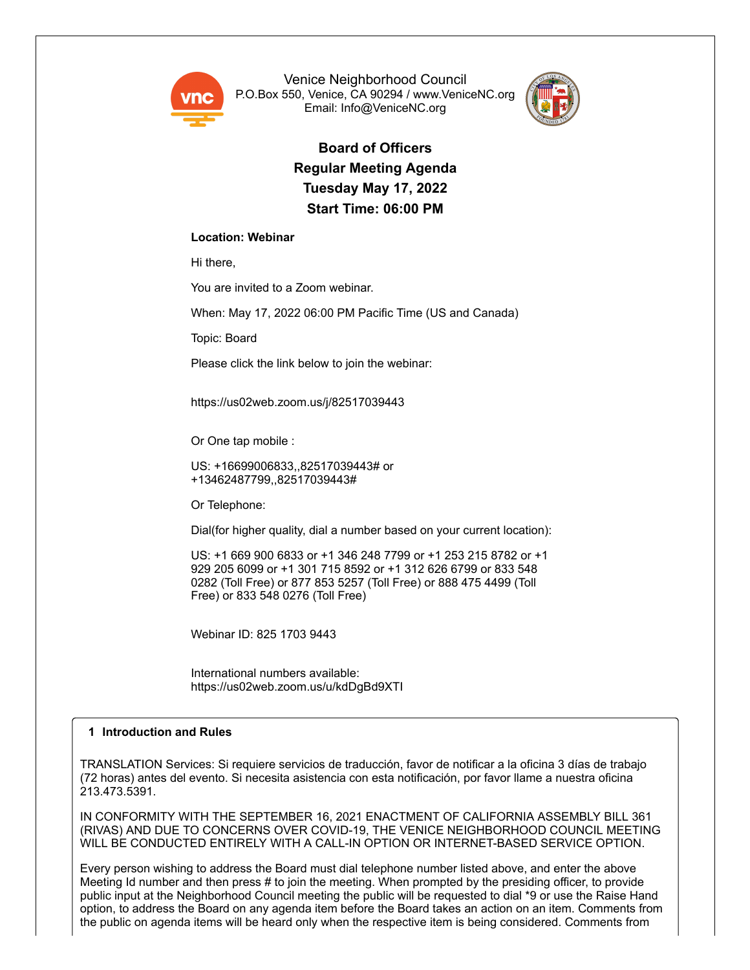

Venice Neighborhood Council P.O.Box 550, Venice, CA 90294 / www.VeniceNC.org Email: Info@VeniceNC.org



**Board of Officers Regular Meeting Agenda Tuesday May 17, 2022 Start Time: 06:00 PM**

# **Location: Webinar**

Hi there,

You are invited to a Zoom webinar.

When: May 17, 2022 06:00 PM Pacific Time (US and Canada)

Topic: Board

Please click the link below to join the webinar:

https://us02web.zoom.us/j/82517039443

Or One tap mobile :

US: +16699006833,,82517039443# or +13462487799,,82517039443#

Or Telephone:

Dial(for higher quality, dial a number based on your current location):

US: +1 669 900 6833 or +1 346 248 7799 or +1 253 215 8782 or +1 929 205 6099 or +1 301 715 8592 or +1 312 626 6799 or 833 548 0282 (Toll Free) or 877 853 5257 (Toll Free) or 888 475 4499 (Toll Free) or 833 548 0276 (Toll Free)

Webinar ID: 825 1703 9443

International numbers available: https://us02web.zoom.us/u/kdDgBd9XTI

# **1 Introduction and Rules**

TRANSLATION Services: Si requiere servicios de traducción, favor de notificar a la oficina 3 días de trabajo (72 horas) antes del evento. Si necesita asistencia con esta notificación, por favor llame a nuestra oficina 213.473.5391.

IN CONFORMITY WITH THE SEPTEMBER 16, 2021 ENACTMENT OF CALIFORNIA ASSEMBLY BILL 361 (RIVAS) AND DUE TO CONCERNS OVER COVID-19, THE VENICE NEIGHBORHOOD COUNCIL MEETING WILL BE CONDUCTED ENTIRELY WITH A CALL-IN OPTION OR INTERNET-BASED SERVICE OPTION.

Every person wishing to address the Board must dial telephone number listed above, and enter the above Meeting Id number and then press # to join the meeting. When prompted by the presiding officer, to provide public input at the Neighborhood Council meeting the public will be requested to dial \*9 or use the Raise Hand option, to address the Board on any agenda item before the Board takes an action on an item. Comments from the public on agenda items will be heard only when the respective item is being considered. Comments from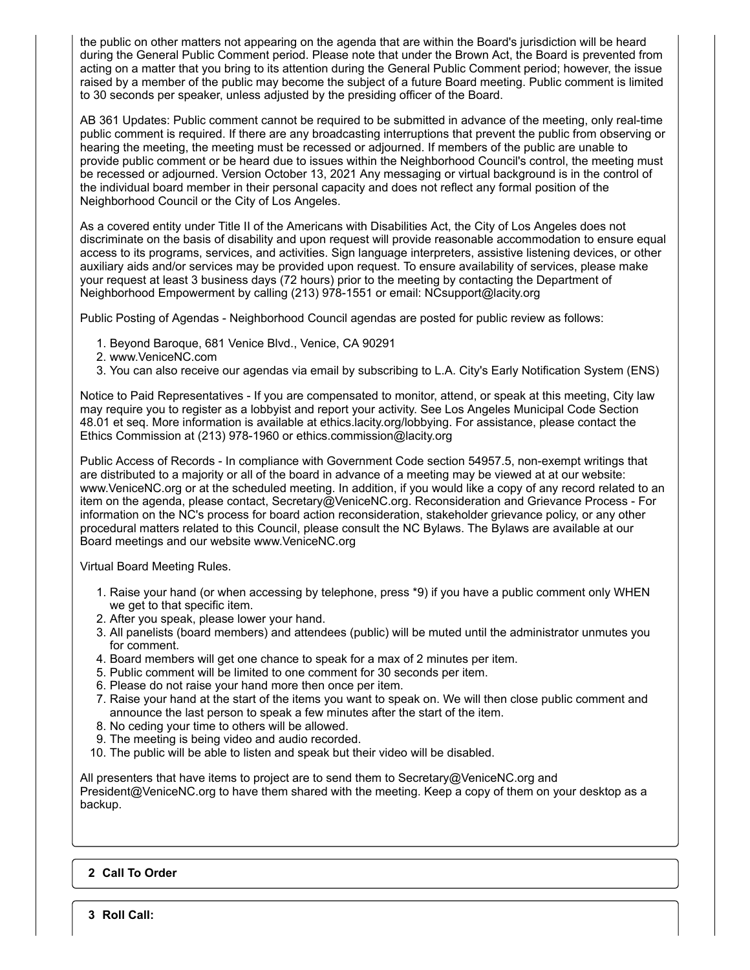the public on other matters not appearing on the agenda that are within the Board's jurisdiction will be heard during the General Public Comment period. Please note that under the Brown Act, the Board is prevented from acting on a matter that you bring to its attention during the General Public Comment period; however, the issue raised by a member of the public may become the subject of a future Board meeting. Public comment is limited to 30 seconds per speaker, unless adjusted by the presiding officer of the Board.

AB 361 Updates: Public comment cannot be required to be submitted in advance of the meeting, only real-time public comment is required. If there are any broadcasting interruptions that prevent the public from observing or hearing the meeting, the meeting must be recessed or adjourned. If members of the public are unable to provide public comment or be heard due to issues within the Neighborhood Council's control, the meeting must be recessed or adjourned. Version October 13, 2021 Any messaging or virtual background is in the control of the individual board member in their personal capacity and does not reflect any formal position of the Neighborhood Council or the City of Los Angeles.

As a covered entity under Title II of the Americans with Disabilities Act, the City of Los Angeles does not discriminate on the basis of disability and upon request will provide reasonable accommodation to ensure equal access to its programs, services, and activities. Sign language interpreters, assistive listening devices, or other auxiliary aids and/or services may be provided upon request. To ensure availability of services, please make your request at least 3 business days (72 hours) prior to the meeting by contacting the Department of Neighborhood Empowerment by calling (213) 978-1551 or email: NCsupport@lacity.org

Public Posting of Agendas - Neighborhood Council agendas are posted for public review as follows:

- 1. Beyond Baroque, 681 Venice Blvd., Venice, CA 90291
- 2. www.VeniceNC.com
- 3. You can also receive our agendas via email by subscribing to L.A. City's Early Notification System (ENS)

Notice to Paid Representatives - If you are compensated to monitor, attend, or speak at this meeting, City law may require you to register as a lobbyist and report your activity. See Los Angeles Municipal Code Section 48.01 et seq. More information is available at ethics.lacity.org/lobbying. For assistance, please contact the Ethics Commission at (213) 978-1960 or ethics.commission@lacity.org

Public Access of Records - In compliance with Government Code section 54957.5, non-exempt writings that are distributed to a majority or all of the board in advance of a meeting may be viewed at at our website: www.VeniceNC.org or at the scheduled meeting. In addition, if you would like a copy of any record related to an item on the agenda, please contact, Secretary@VeniceNC.org. Reconsideration and Grievance Process - For information on the NC's process for board action reconsideration, stakeholder grievance policy, or any other procedural matters related to this Council, please consult the NC Bylaws. The Bylaws are available at our Board meetings and our website www.VeniceNC.org

Virtual Board Meeting Rules.

- 1. Raise your hand (or when accessing by telephone, press \*9) if you have a public comment only WHEN we get to that specific item.
- 2. After you speak, please lower your hand.
- 3. All panelists (board members) and attendees (public) will be muted until the administrator unmutes you for comment.
- 4. Board members will get one chance to speak for a max of 2 minutes per item.
- 5. Public comment will be limited to one comment for 30 seconds per item.
- 6. Please do not raise your hand more then once per item.
- 7. Raise your hand at the start of the items you want to speak on. We will then close public comment and announce the last person to speak a few minutes after the start of the item.
- 8. No ceding your time to others will be allowed.
- 9. The meeting is being video and audio recorded.
- 10. The public will be able to listen and speak but their video will be disabled.

All presenters that have items to project are to send them to Secretary@VeniceNC.org and President@VeniceNC.org to have them shared with the meeting. Keep a copy of them on your desktop as a backup.

# **2 Call To Order**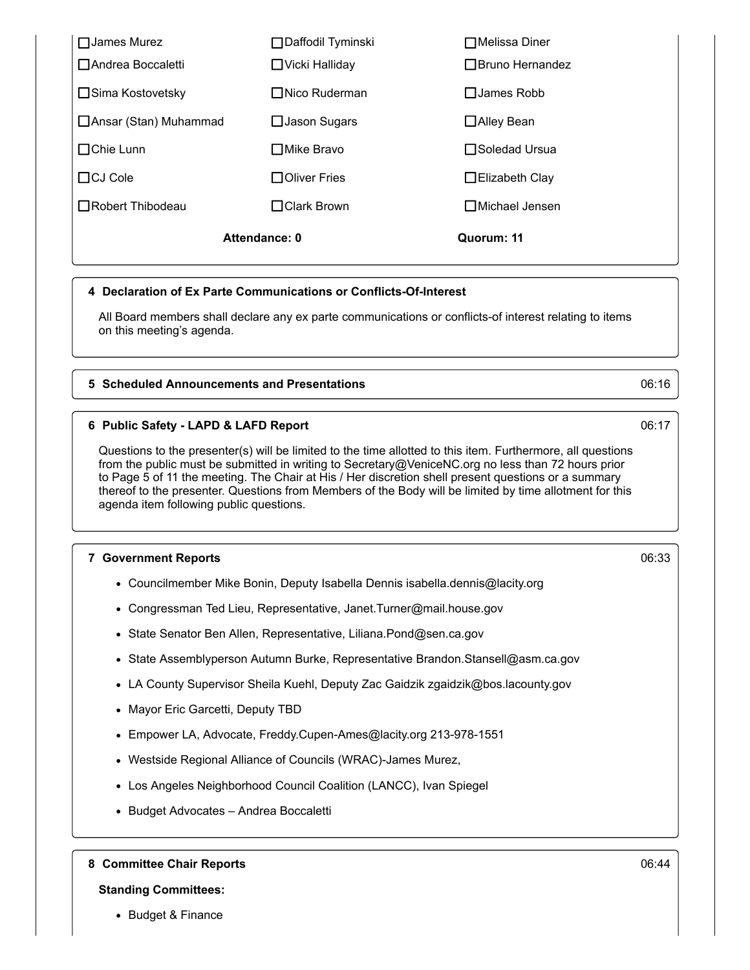| Attendance: 0           |                       | Quorum: 11               |
|-------------------------|-----------------------|--------------------------|
| $\Box$ Robert Thibodeau | $\Box$ Clark Brown    | $\square$ Michael Jensen |
| $\Box$ CJ Cole          | □Oliver Fries         | $\Box$ Elizabeth Clay    |
| $\Box$ Chie Lunn        | □Mike Bravo           | □Soledad Ursua           |
| □ Ansar (Stan) Muhammad | $\Box$ Jason Sugars   | □Alley Bean              |
| □ Sima Kostovetsky      | $\Box$ Nico Ruderman  | $\Box$ James Robb        |
| □ Andrea Boccaletti     | $\Box$ Vicki Halliday | □ Bruno Hernandez        |
| $\Box$ James Murez      | □Daffodil Tyminski    | $\Box$ Melissa Diner     |

### **4 Declaration of Ex Parte Communications or Conflicts-Of-Interest**

All Board members shall declare any ex parte communications or conflicts-of interest relating to items on this meeting's agenda.

### **5 Scheduled Announcements and Presentations** 06:16

### **6 Public Safety - LAPD & LAFD Report** 06:17

Questions to the presenter(s) will be limited to the time allotted to this item. Furthermore, all questions from the public must be submitted in writing to Secretary@VeniceNC.org no less than 72 hours prior to Page 5 of 11 the meeting. The Chair at His / Her discretion shell present questions or a summary thereof to the presenter. Questions from Members of the Body will be limited by time allotment for this agenda item following public questions.

### **7 Government Reports** 06:33

- Councilmember Mike Bonin, Deputy Isabella Dennis isabella.dennis@lacity.org
- Congressman Ted Lieu, Representative, Janet.Turner@mail.house.gov
- State Senator Ben Allen, Representative, Liliana.Pond@sen.ca.gov
- State Assemblyperson Autumn Burke, Representative Brandon.Stansell@asm.ca.gov
- LA County Supervisor Sheila Kuehl, Deputy Zac Gaidzik zgaidzik@bos.lacounty.gov
- Mayor Eric Garcetti, Deputy TBD
- Empower LA, Advocate, Freddy.Cupen-Ames@lacity.org 213-978-1551
- Westside Regional Alliance of Councils (WRAC)-James Murez,
- Los Angeles Neighborhood Council Coalition (LANCC), Ivan Spiegel
- Budget Advocates Andrea Boccaletti

**8 Committee Chair Reports** 06:44

### **Standing Committees:**

• Budget & Finance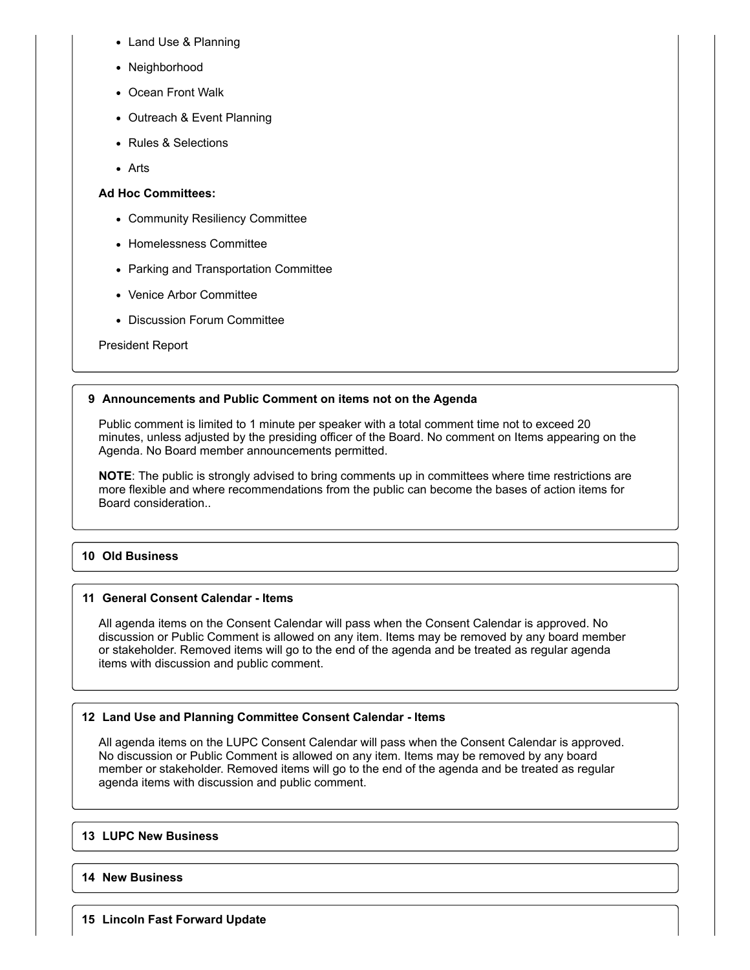- Land Use & Planning
- Neighborhood
- Ocean Front Walk
- Outreach & Event Planning
- Rules & Selections
- Arts

# **Ad Hoc Committees:**

- Community Resiliency Committee
- Homelessness Committee
- Parking and Transportation Committee
- Venice Arbor Committee
- Discussion Forum Committee

President Report

# **9 Announcements and Public Comment on items not on the Agenda**

Public comment is limited to 1 minute per speaker with a total comment time not to exceed 20 minutes, unless adjusted by the presiding officer of the Board. No comment on Items appearing on the Agenda. No Board member announcements permitted.

**NOTE**: The public is strongly advised to bring comments up in committees where time restrictions are more flexible and where recommendations from the public can become the bases of action items for Board consideration..

# **10 Old Business**

# **11 General Consent Calendar - Items**

All agenda items on the Consent Calendar will pass when the Consent Calendar is approved. No discussion or Public Comment is allowed on any item. Items may be removed by any board member or stakeholder. Removed items will go to the end of the agenda and be treated as regular agenda items with discussion and public comment.

# **12 Land Use and Planning Committee Consent Calendar - Items**

All agenda items on the LUPC Consent Calendar will pass when the Consent Calendar is approved. No discussion or Public Comment is allowed on any item. Items may be removed by any board member or stakeholder. Removed items will go to the end of the agenda and be treated as regular agenda items with discussion and public comment.

# **13 LUPC New Business**

# **14 New Business**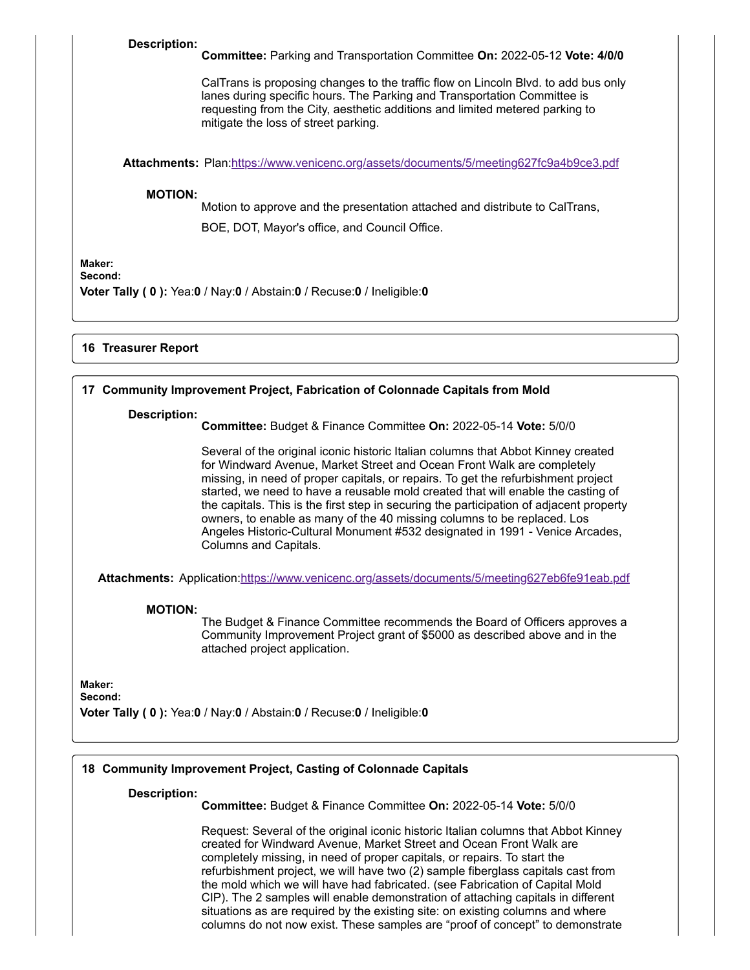### **Description:**

**Committee:** Parking and Transportation Committee **On:** 2022-05-12 **Vote: 4/0/0**

CalTrans is proposing changes to the traffic flow on Lincoln Blvd. to add bus only lanes during specific hours. The Parking and Transportation Committee is requesting from the City, aesthetic additions and limited metered parking to mitigate the loss of street parking.

**Attachments:** Plan:<https://www.venicenc.org/assets/documents/5/meeting627fc9a4b9ce3.pdf>

#### **MOTION:**

Motion to approve and the presentation attached and distribute to CalTrans, BOE, DOT, Mayor's office, and Council Office.

**Maker:**

**Second:**

**Voter Tally ( 0 ):** Yea:**0** / Nay:**0** / Abstain:**0** / Recuse:**0** / Ineligible:**0**

# **16 Treasurer Report**

### **17 Community Improvement Project, Fabrication of Colonnade Capitals from Mold**

#### **Description:**

**Committee:** Budget & Finance Committee **On:** 2022-05-14 **Vote:** 5/0/0

Several of the original iconic historic Italian columns that Abbot Kinney created for Windward Avenue, Market Street and Ocean Front Walk are completely missing, in need of proper capitals, or repairs. To get the refurbishment project started, we need to have a reusable mold created that will enable the casting of the capitals. This is the first step in securing the participation of adjacent property owners, to enable as many of the 40 missing columns to be replaced. Los Angeles Historic-Cultural Monument #532 designated in 1991 - Venice Arcades, Columns and Capitals.

**Attachments:** Application:<https://www.venicenc.org/assets/documents/5/meeting627eb6fe91eab.pdf>

### **MOTION:**

The Budget & Finance Committee recommends the Board of Officers approves a Community Improvement Project grant of \$5000 as described above and in the attached project application.

**Maker:**

**Second:**

**Voter Tally ( 0 ):** Yea:**0** / Nay:**0** / Abstain:**0** / Recuse:**0** / Ineligible:**0**

# **18 Community Improvement Project, Casting of Colonnade Capitals**

### **Description:**

**Committee:** Budget & Finance Committee **On:** 2022-05-14 **Vote:** 5/0/0

Request: Several of the original iconic historic Italian columns that Abbot Kinney created for Windward Avenue, Market Street and Ocean Front Walk are completely missing, in need of proper capitals, or repairs. To start the refurbishment project, we will have two (2) sample fiberglass capitals cast from the mold which we will have had fabricated. (see Fabrication of Capital Mold CIP). The 2 samples will enable demonstration of attaching capitals in different situations as are required by the existing site: on existing columns and where columns do not now exist. These samples are "proof of concept" to demonstrate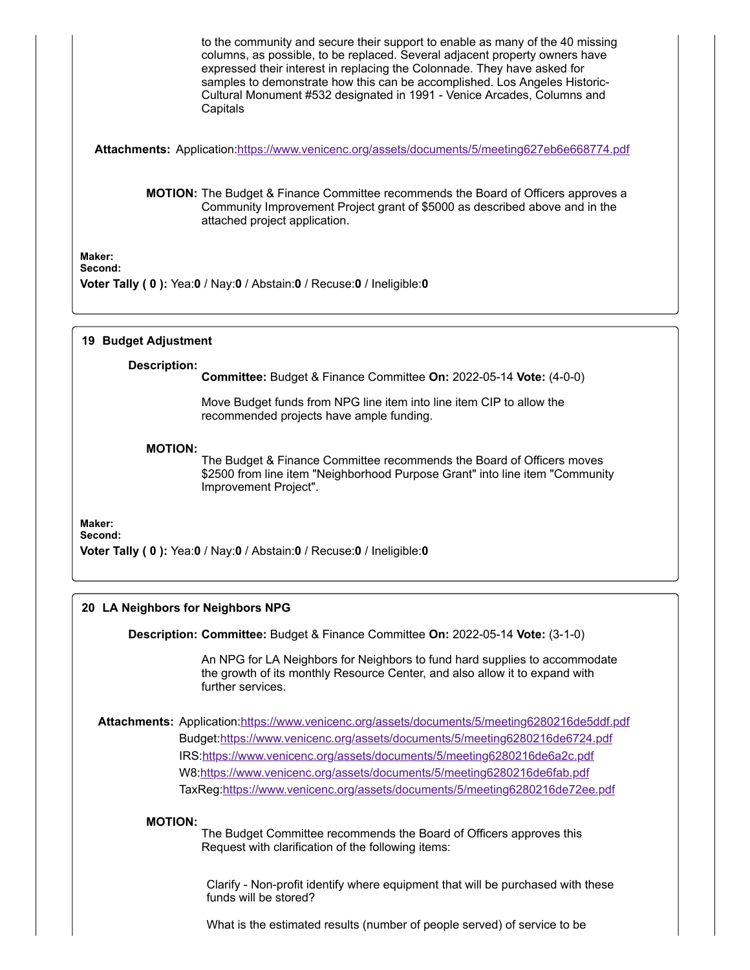to the community and secure their support to enable as many of the 40 missing columns, as possible, to be replaced. Several adjacent property owners have expressed their interest in replacing the Colonnade. They have asked for samples to demonstrate how this can be accomplished. Los Angeles Historic-Cultural Monument #532 designated in 1991 - Venice Arcades, Columns and **Capitals** 

**Attachments:** Application:<https://www.venicenc.org/assets/documents/5/meeting627eb6e668774.pdf>

**MOTION:** The Budget & Finance Committee recommends the Board of Officers approves a Community Improvement Project grant of \$5000 as described above and in the attached project application.

**Maker: Second:**

**Voter Tally ( 0 ):** Yea:**0** / Nay:**0** / Abstain:**0** / Recuse:**0** / Ineligible:**0**

# **19 Budget Adjustment**

### **Description:**

**Committee:** Budget & Finance Committee **On:** 2022-05-14 **Vote:** (4-0-0)

Move Budget funds from NPG line item into line item CIP to allow the recommended projects have ample funding.

### **MOTION:**

The Budget & Finance Committee recommends the Board of Officers moves \$2500 from line item "Neighborhood Purpose Grant" into line item "Community Improvement Project".

### **Maker:**

**Second:**

**Voter Tally ( 0 ):** Yea:**0** / Nay:**0** / Abstain:**0** / Recuse:**0** / Ineligible:**0**

# **20 LA Neighbors for Neighbors NPG**

**Description: Committee:** Budget & Finance Committee **On:** 2022-05-14 **Vote:** (3-1-0)

An NPG for LA Neighbors for Neighbors to fund hard supplies to accommodate the growth of its monthly Resource Center, and also allow it to expand with further services.

**Attachments:** Application:<https://www.venicenc.org/assets/documents/5/meeting6280216de5ddf.pdf> Budget:<https://www.venicenc.org/assets/documents/5/meeting6280216de6724.pdf> IRS[:https://www.venicenc.org/assets/documents/5/meeting6280216de6a2c.pdf](https://www.venicenc.org/assets/documents/5/meeting6280216de6a2c.pdf) W8:<https://www.venicenc.org/assets/documents/5/meeting6280216de6fab.pdf> TaxReg:<https://www.venicenc.org/assets/documents/5/meeting6280216de72ee.pdf>

### **MOTION:**

The Budget Committee recommends the Board of Officers approves this Request with clarification of the following items:

Clarify - Non-profit identify where equipment that will be purchased with these funds will be stored?

What is the estimated results (number of people served) of service to be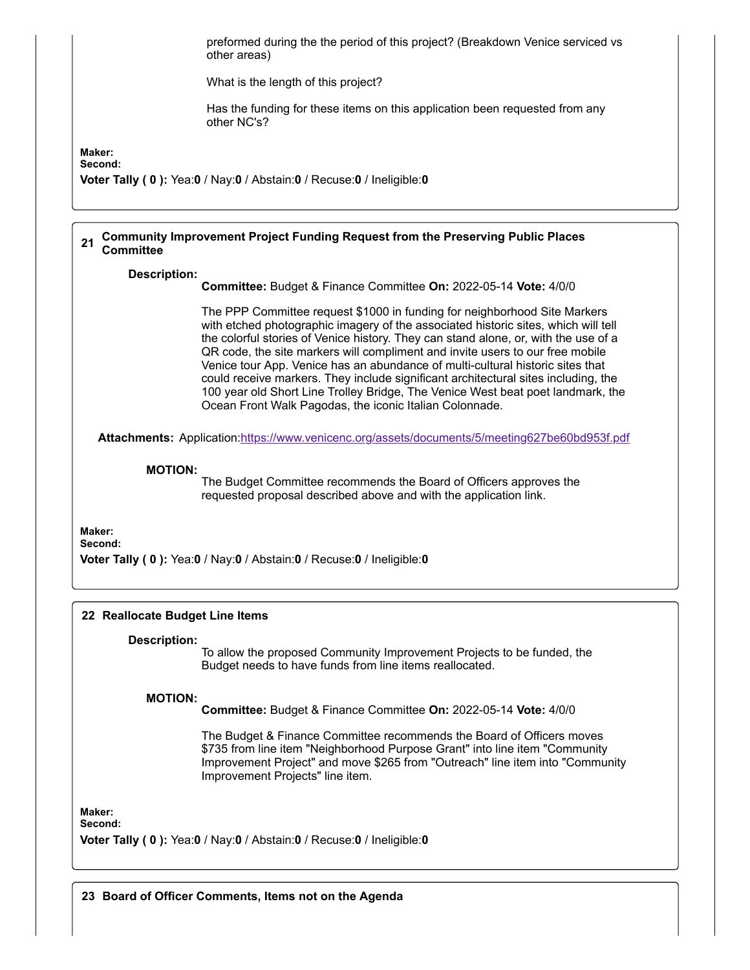

**Committee:** Budget & Finance Committee **On:** 2022-05-14 **Vote:** 4/0/0

The Budget & Finance Committee recommends the Board of Officers moves \$735 from line item "Neighborhood Purpose Grant" into line item "Community Improvement Project" and move \$265 from "Outreach" line item into "Community Improvement Projects" line item.

**Maker: Second:**

**Voter Tally ( 0 ):** Yea:**0** / Nay:**0** / Abstain:**0** / Recuse:**0** / Ineligible:**0**